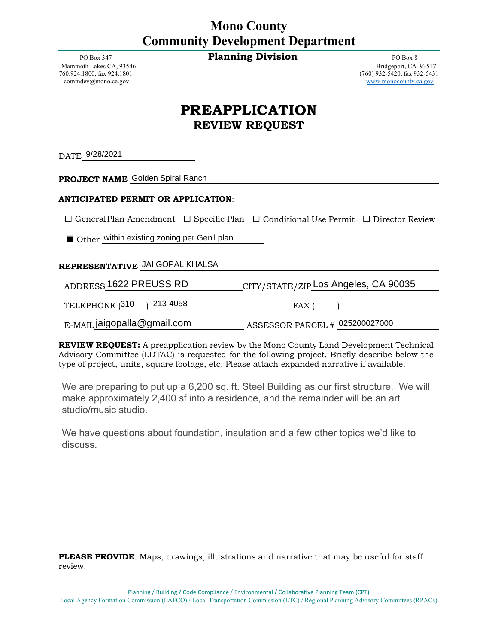## **Mono County Community Development Department**

PO Box 347 **Planning Division PO Box 8** 

[commdev@mono.ca.gov](mailto:commdev@mono.ca.gov) [www.monocounty.ca.gov](http://www.monocounty.ca.gov/)

Mammoth Lakes CA, 93546 Bridgeport, CA 93517<br>
760.924.1800. fax 924.1801 (760) 932-5431 (760) 932-5431 (760) 932-5431 (760) 932-5420, fax 932-5431

## **PREAPPLICATION REVIEW REQUEST**

DATE 9/28/2021

**PROJECT NAME**

## **ANTICIPATED PERMIT OR APPLICATION**:

☐ GeneralPlan Amendment ☐ Specific Plan ☐ Conditional Use Permit ☐ Director Review

■ Other within existing zoning per Gen'l plan

## **REPRESENTATIVE** JAI GOPAL KHALSA

ADDRESS 1622 PREUSS RD TELEPHONE (310 ) 213-4058 FAX (2010) E-MAIL ASSESSOR PARCEL # jaigopalla@gmail.com <sup>025200027000</sup> <sup>310</sup>DATE\_9/28/2021<br> **ENDIBET NAME** Golden Spiral Ranch<br>  $\Box$  General Plan Amendment  $\Box$  Spe<br>  $\Box$  Other <u>within existing zoning per Ge</u><br> **EDEPRESENTATIVE** JAI GOPAL KHAL<br>
ADDRESS 1622 PREUSS RD<br>
TELEPHONE (310 ) 213-4058<br>
E-CITY/STATE/ZIP Los Angeles, CA 90035

**REVIEW REQUEST:** A preapplication review by the Mono County Land Development Technical Advisory Committee (LDTAC) is requested for the following project. Briefly describe below the type of project, units, square footage, etc. Please attach expanded narrative if available.

We are preparing to put up a 6,200 sq. ft. Steel Building as our first structure. We will make approximately 2,400 sf into a residence, and the remainder will be an art studio/music studio.

We have questions about foundation, insulation and a few other topics we'd like to

**PLEASE PROVIDE:** Maps, drawings, illustrations and narrative that may be useful for staff review.